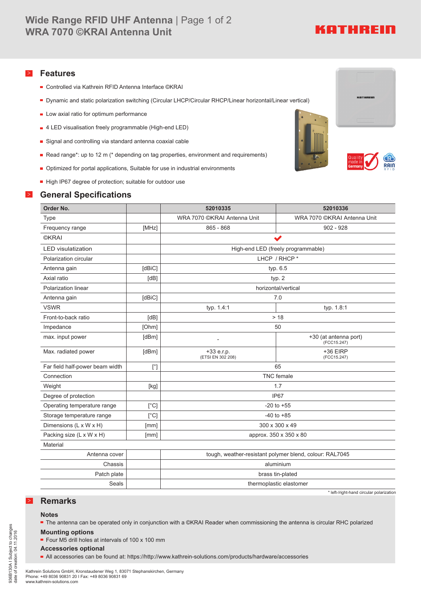# KATHREIN

#### > **Features**

- Controlled via Kathrein RFID Antenna Interface ©KRAI
- Dynamic and static polarization switching (Circular LHCP/Circular RHCP/Linear horizontal/Linear vertical)
- **Low axial ratio for optimum performance**
- 4 LED visualisation freely programmable (High-end LED)
- Signal and controlling via standard antenna coaxial cable
- Read range\*: up to 12 m (\* depending on tag properties, environment and requirements)
- Optimized for portal applications, Suitable for use in industrial environments
- High IP67 degree of protection; suitable for outdoor use

### > **General Specifications**





**KATHRED** 



| Order No.                       |              | 52010335                           | 52010336                                                                                                                                                                                                                                                    |
|---------------------------------|--------------|------------------------------------|-------------------------------------------------------------------------------------------------------------------------------------------------------------------------------------------------------------------------------------------------------------|
| <b>Type</b>                     |              | WRA 7070 ©KRAI Antenna Unit        | WRA 7070 ©KRAI Antenna Unit                                                                                                                                                                                                                                 |
| Frequency range                 | [MHz]        | $865 - 868$                        | $902 - 928$                                                                                                                                                                                                                                                 |
| <b>©KRAI</b>                    |              | $\blacktriangleright$              |                                                                                                                                                                                                                                                             |
| <b>LED</b> visulatization       |              | High-end LED (freely programmable) |                                                                                                                                                                                                                                                             |
| Polarization circular           |              | LHCP / RHCP *                      |                                                                                                                                                                                                                                                             |
| Antenna gain                    | [dBiC]       | typ. $6.5$                         |                                                                                                                                                                                                                                                             |
| Axial ratio                     | [dB]         | typ. $2$                           |                                                                                                                                                                                                                                                             |
| Polarization linear             |              | horizontal/vertical                |                                                                                                                                                                                                                                                             |
| Antenna gain                    | [dBiC]       | 7.0                                |                                                                                                                                                                                                                                                             |
| <b>VSWR</b>                     |              | typ. 1.4:1                         | typ. 1.8:1                                                                                                                                                                                                                                                  |
| Front-to-back ratio             | [dB]         | > 18                               |                                                                                                                                                                                                                                                             |
| Impedance                       | [Ohm]        | 50                                 |                                                                                                                                                                                                                                                             |
| max. input power                | [dBm]        |                                    | +30 (at antenna port)<br>(FCC15.247)                                                                                                                                                                                                                        |
| Max. radiated power             | [dBm]        | +33 e.r.p.<br>(ETSI EN 302 208)    | +36 EIRP<br>(FCC15.247)                                                                                                                                                                                                                                     |
| Far field half-power beam width | $[^{\circ}]$ | 65                                 |                                                                                                                                                                                                                                                             |
| Connection                      |              | <b>TNC</b> female                  |                                                                                                                                                                                                                                                             |
| Weight                          | [kg]         | 1.7                                |                                                                                                                                                                                                                                                             |
| Degree of protection            |              | IP67                               |                                                                                                                                                                                                                                                             |
| Operating temperature range     | $\lceil$ °Cl | $-20$ to $+55$                     |                                                                                                                                                                                                                                                             |
| Storage temperature range       | [°C]         | $-40$ to $+85$                     |                                                                                                                                                                                                                                                             |
| Dimensions (L x W x H)          | [mm]         | 300 x 300 x 49                     |                                                                                                                                                                                                                                                             |
| Packing size (L x W x H)        | [mm]         | approx. 350 x 350 x 80             |                                                                                                                                                                                                                                                             |
| Material                        |              |                                    |                                                                                                                                                                                                                                                             |
| $\sim$                          |              |                                    | $\mathbf{r} = \mathbf{r}$ and $\mathbf{r} = \mathbf{r}$ and $\mathbf{r} = \mathbf{r}$ . The contract of the contract of the contract of the contract of the contract of the contract of the contract of the contract of the contract of the contract of the |

| Antenna cover I |                         | tough, weather-resistant polymer blend, colour: RAL7045 |  |
|-----------------|-------------------------|---------------------------------------------------------|--|
| Chassis I       |                         | aluminium                                               |  |
| Patch plate I   |                         | brass tin-plated                                        |  |
| Seals           | thermoplastic elastomer |                                                         |  |

\* left-/right-hand circular polarization

### > **Remarks**

#### **Notes**

■ The antenna can be operated only in conjunction with a ©KRAI Reader when commissioning the antenna is circular RHC polarized

#### **Mounting options**

■ Four M5 drill holes at intervals of 100 x 100 mm

#### **Accessories optional**

All accessories can be found at: https://http://www.kathrein-solutions.com/products/hardware/accessories